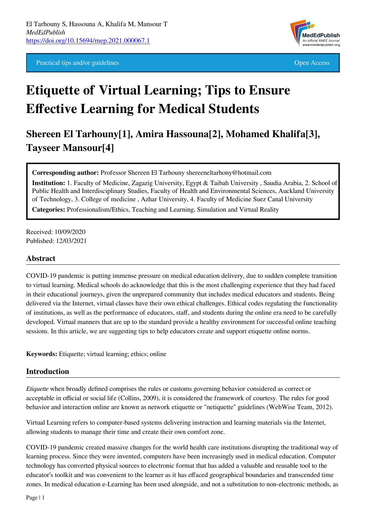Practical tips and/or guidelines **Open Access** Open Access **Open Access** 



# **Etiquette of Virtual Learning; Tips to Ensure Effective Learning for Medical Students**

**Shereen El Tarhouny[1], Amira Hassouna[2], Mohamed Khalifa[3], Tayseer Mansour[4]**

**Corresponding author:** Professor Shereen El Tarhouny shereeneltarhony@hotmail.com

**Institution:** 1. Faculty of Medicine, Zagazig University, Egypt & Taibah University , Saudia Arabia, 2. School of Public Health and Interdisciplinary Studies, Faculty of Health and Environmental Sciences, Auckland University of Technology, 3. College of medicine , Azhar University, 4. Faculty of Medicine Suez Canal University **Categories:** Professionalism/Ethics, Teaching and Learning, Simulation and Virtual Reality

Received: 10/09/2020 Published: 12/03/2021

## **Abstract**

COVID-19 pandemic is putting immense pressure on medical education delivery, due to sudden complete transition to virtual learning. Medical schools do acknowledge that this is the most challenging experience that they had faced in their educational journeys, given the unprepared community that includes medical educators and students. Being delivered via the Internet, virtual classes have their own ethical challenges. Ethical codes regulating the functionality of institutions, as well as the performance of educators, staff, and students during the online era need to be carefully developed. Virtual manners that are up to the standard provide a healthy environment for successful online teaching sessions. In this article, we are suggesting tips to help educators create and support etiquette online norms.

**Keywords:** Etiquette; virtual learning; ethics; online

#### **Introduction**

*Etiquette* when broadly defined comprises the rules or customs governing behavior considered as correct or acceptable in official or social life (Collins, 2009), it is considered the framework of courtesy. The rules for good behavior and interaction online are known as network etiquette or "netiquette" guidelines (WebWise Team, 2012).

Virtual Learning refers to computer-based systems delivering instruction and learning materials via the Internet, allowing students to manage their time and create their own comfort zone.

COVID-19 pandemic created massive changes for the world health care institutions disrupting the traditional way of learning process. Since they were invented, computers have been increasingly used in medical education. Computer technology has converted physical sources to electronic format that has added a valuable and reusable tool to the educator's toolkit and was convenient to the learner as it has effaced geographical boundaries and transcended time zones. In medical education e-Learning has been used alongside, and not a substitution to non-electronic methods, as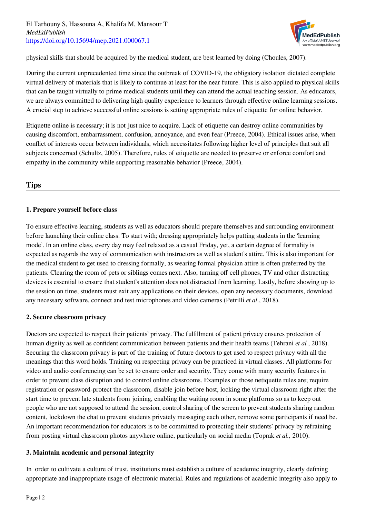

physical skills that should be acquired by the medical student, are best learned by doing (Choules, 2007).

During the current unprecedented time since the outbreak of COVID-19, the obligatory isolation dictated complete virtual delivery of materials that is likely to continue at least for the near future. This is also applied to physical skills that can be taught virtually to prime medical students until they can attend the actual teaching session. As educators, we are always committed to delivering high quality experience to learners through effective online learning sessions. A crucial step to achieve successful online sessions is setting appropriate rules of etiquette for online behavior.

Etiquette online is necessary; it is not just nice to acquire. Lack of etiquette can destroy online communities by causing discomfort, embarrassment, confusion, annoyance, and even fear (Preece, 2004). Ethical issues arise, when conflict of interests occur between individuals, which necessitates following higher level of principles that suit all subjects concerned (Schultz, 2005). Therefore, rules of etiquette are needed to preserve or enforce comfort and empathy in the community while supporting reasonable behavior (Preece, 2004).

# **Tips**

# **1. Prepare yourself before class**

To ensure effective learning, students as well as educators should prepare themselves and surrounding environment before launching their online class. To start with; dressing appropriately helps putting students in the 'learning mode'. In an online class, every day may feel relaxed as a casual Friday, yet, a certain degree of formality is expected as regards the way of communication with instructors as well as student's attire. This is also important for the medical student to get used to dressing formally, as wearing formal physician attire is often preferred by the patients. Clearing the room of pets or siblings comes next. Also, turning off cell phones, TV and other distracting devices is essential to ensure that student's attention does not distracted from learning. Lastly, before showing up to the session on time, students must exit any applications on their devices, open any necessary documents, download any necessary software, connect and test microphones and video cameras (Petrilli *et al*., 2018).

## **2. Secure classroom privacy**

Doctors are expected to respect their patients' privacy. The fulfillment of patient privacy ensures protection of human dignity as well as confident communication between patients and their health teams (Tehrani *et al.*, 2018). Securing the classroom privacy is part of the training of future doctors to get used to respect privacy with all the meanings that this word holds. Training on respecting privacy can be practiced in virtual classes. All platforms for video and audio conferencing can be set to ensure order and security. They come with many security features in order to prevent class disruption and to control online classrooms. Examples or those netiquette rules are; require registration or password-protect the classroom, disable join before host, locking the virtual classroom right after the start time to prevent late students from joining, enabling the waiting room in some platforms so as to keep out people who are not supposed to attend the session, control sharing of the screen to prevent students sharing random content, lockdown the chat to prevent students privately messaging each other, remove some participants if need be. An important recommendation for educators is to be committed to protecting their students' privacy by refraining from posting virtual classroom photos anywhere online, particularly on social media (Toprak *et al.,* 2010).

## **3. Maintain academic and personal integrity**

In order to cultivate a culture of trust, institutions must establish a culture of academic integrity, clearly defining appropriate and inappropriate usage of electronic material. Rules and regulations of academic integrity also apply to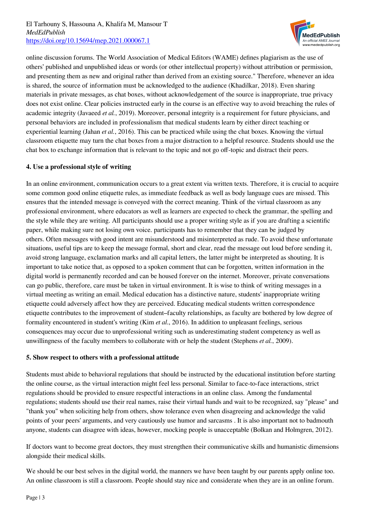

online discussion forums. The World Association of Medical Editors (WAME) defines plagiarism as the use of others' published and unpublished ideas or words (or other intellectual property) without attribution or permission, and presenting them as new and original rather than derived from an existing source." Therefore, whenever an idea is shared, the source of information must be acknowledged to the audience (Khadilkar, 2018). Even sharing materials in private messages, as chat boxes, without acknowledgement of the source is inappropriate, true privacy does not exist online. Clear policies instructed early in the course is an effective way to avoid breaching the rules of academic integrity (Javaeed *et al.*, 2019). Moreover, personal integrity is a requirement for future physicians, and personal behaviors are included in professionalism that medical students learn by either direct teaching or experiential learning (Jahan *et al.*, 2016). This can be practiced while using the chat boxes. Knowing the virtual classroom etiquette may turn the chat boxes from a major distraction to a helpful resource. Students should use the chat box to exchange information that is relevant to the topic and not go off-topic and distract their peers.

# **4. Use a professional style of writing**

In an online environment, communication occurs to a great extent via written texts. Therefore, it is crucial to acquire some common good online etiquette rules, as immediate feedback as well as body language cues are missed. This ensures that the intended message is conveyed with the correct meaning. Think of the virtual classroom as any professional environment, where educators as well as learners are expected to check the grammar, the spelling and the style while they are writing. All participants should use a proper writing style as if you are drafting a scientific paper, while making sure not losing own voice. participants has to remember that they can be judged by others. Often messages with good intent are misunderstood and misinterpreted as rude. To avoid these unfortunate situations, useful tips are to keep the message formal, short and clear, read the message out loud before sending it, avoid strong language, exclamation marks and all capital letters, the latter might be interpreted as shouting. It is important to take notice that, as opposed to a spoken comment that can be forgotten, written information in the digital world is permanently recorded and can be housed forever on the internet. Moreover, private conversations can go public, therefore, care must be taken in virtual environment. It is wise to think of writing messages in a virtual meeting as writing an email. Medical education has a distinctive nature, students' inappropriate writing etiquette could adversely affect how they are perceived. Educating medical students written correspondence etiquette contributes to the improvement of student–faculty relationships, as faculty are bothered by low degree of formality encountered in student's writing (Kim *et al*., 2016). In addition to unpleasant feelings, serious consequences may occur due to unprofessional writing such as underestimating student competency as well as unwillingness of the faculty members to collaborate with or help the student (Stephens *et al.*, 2009).

## **5. Show respect to others with a professional attitude**

Students must abide to behavioral regulations that should be instructed by the educational institution before starting the online course, as the virtual interaction might feel less personal. Similar to face-to-face interactions, strict regulations should be provided to ensure respectful interactions in an online class. Among the fundamental regulations; students should use their real names, raise their virtual hands and wait to be recognized, say "please" and "thank you" when soliciting help from others, show tolerance even when disagreeing and acknowledge the valid points of your peers' arguments, and very cautiously use humor and sarcasms . It is also important not to badmouth anyone, students can disagree with ideas, however, mocking people is unacceptable (Bolkan and Holmgren, 2012).

If doctors want to become great doctors, they must strengthen their communicative skills and humanistic dimensions alongside their medical skills.

We should be our best selves in the digital world, the manners we have been taught by our parents apply online too. An online classroom is still a classroom. People should stay nice and considerate when they are in an online forum.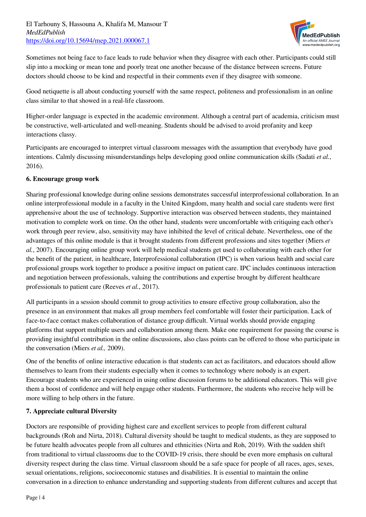

Sometimes not being face to face leads to rude behavior when they disagree with each other. Participants could still slip into a mocking or mean tone and poorly treat one another because of the distance between screens. Future doctors should choose to be kind and respectful in their comments even if they disagree with someone.

Good netiquette is all about conducting yourself with the same respect, politeness and professionalism in an online class similar to that showed in a real-life classroom.

Higher-order language is expected in the academic environment. Although a central part of academia, criticism must be constructive, well-articulated and well-meaning. Students should be advised to avoid profanity and keep interactions classy.

Participants are encouraged to interpret virtual classroom messages with the assumption that everybody have good intentions. Calmly discussing misunderstandings helps developing good online communication skills (Sadati *et al.*, 2016).

# **6. Encourage group work**

Sharing professional knowledge during online sessions demonstrates successful interprofessional collaboration. In an online interprofessional module in a faculty in the United Kingdom, many health and social care students were first apprehensive about the use of technology. Supportive interaction was observed between students, they maintained motivation to complete work on time. On the other hand, students were uncomfortable with critiquing each other's work through peer review, also, sensitivity may have inhibited the level of critical debate. Nevertheless, one of the advantages of this online module is that it brought students from different professions and sites together (Miers *et al.*, 2007). Encouraging online group work will help medical students get used to collaborating with each other for the benefit of the patient, in healthcare, Interprofessional collaboration (IPC) is when various health and social care professional groups work together to produce a positive impact on patient care. IPC includes continuous interaction and negotiation between professionals, valuing the contributions and expertise brought by different healthcare professionals to patient care (Reeves *et al.*, 2017).

All participants in a session should commit to group activities to ensure effective group collaboration, also the presence in an environment that makes all group members feel comfortable will foster their participation. Lack of face-to-face contact makes collaboration of distance group difficult. Virtual worlds should provide engaging platforms that support multiple users and collaboration among them. Make one requirement for passing the course is providing insightful contribution in the online discussions, also class points can be offered to those who participate in the conversation (Miers *et al.,* 2009).

One of the benefits of online interactive education is that students can act as facilitators, and educators should allow themselves to learn from their students especially when it comes to technology where nobody is an expert. Encourage students who are experienced in using online discussion forums to be additional educators. This will give them a boost of confidence and will help engage other students. Furthermore, the students who receive help will be more willing to help others in the future.

## **7. Appreciate cultural Diversity**

Doctors are responsible of providing highest care and excellent services to people from different cultural backgrounds (Roh and Nirta, 2018). Cultural diversity should be taught to medical students, as they are supposed to be future health advocates people from all cultures and ethnicities (Nirta and Roh, 2019). With the sudden shift from traditional to virtual classrooms due to the COVID-19 crisis, there should be even more emphasis on cultural diversity respect during the class time. Virtual classroom should be a safe space for people of all races, ages, sexes, sexual orientations, religions, socioeconomic statuses and disabilities. It is essential to maintain the online conversation in a direction to enhance understanding and supporting students from different cultures and accept that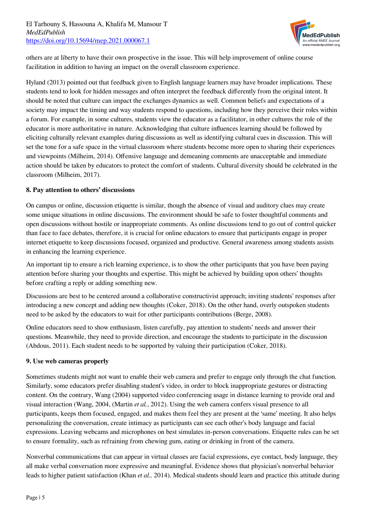

others are at liberty to have their own prospective in the issue. This will help improvement of online course facilitation in addition to having an impact on the overall classroom experience.

Hyland (2013) pointed out that feedback given to English language learners may have broader implications. These students tend to look for hidden messages and often interpret the feedback differently from the original intent. It should be noted that culture can impact the exchanges dynamics as well. Common beliefs and expectations of a society may impact the timing and way students respond to questions, including how they perceive their roles within a forum. For example, in some cultures, students view the educator as a facilitator, in other cultures the role of the educator is more authoritative in nature. Acknowledging that culture influences learning should be followed by eliciting culturally relevant examples during discussions as well as identifying cultural cues in discussion. This will set the tone for a safe space in the virtual classroom where students become more open to sharing their experiences and viewpoints (Milheim, 2014). Offensive language and demeaning comments are unacceptable and immediate action should be taken by educators to protect the comfort of students. Cultural diversity should be celebrated in the classroom (Milheim, 2017).

## **8. Pay attention to others' discussions**

On campus or online, discussion etiquette is similar, though the absence of visual and auditory clues may create some unique situations in online discussions. The environment should be safe to foster thoughtful comments and open discussions without hostile or inappropriate comments. As online discussions tend to go out of control quicker than face to face debates, therefore, it is crucial for online educators to ensure that participants engage in proper internet etiquette to keep discussions focused, organized and productive. General awareness among students assists in enhancing the learning experience.

An important tip to ensure a rich learning experience, is to show the other participants that you have been paying attention before sharing your thoughts and expertise. This might be achieved by building upon others' thoughts before crafting a reply or adding something new.

Discussions are best to be centered around a collaborative constructivist approach; inviting students' responses after introducing a new concept and adding new thoughts (Coker, 2018). On the other hand, overly outspoken students need to be asked by the educators to wait for other participants contributions (Berge, 2008).

Online educators need to show enthusiasm, listen carefully, pay attention to students' needs and answer their questions. Meanwhile, they need to provide direction, and encourage the students to participate in the discussion (Abdous, 2011). Each student needs to be supported by valuing their participation (Coker, 2018).

## **9. Use web cameras properly**

Sometimes students might not want to enable their web camera and prefer to engage only through the chat function. Similarly, some educators prefer disabling student's video, in order to block inappropriate gestures or distracting content. On the contrary, Wang (2004) supported video conferencing usage in distance learning to provide oral and visual interaction (Wang, 2004, (Martin *et al.*, 2012). Using the web camera confers visual presence to all participants, keeps them focused, engaged, and makes them feel they are present at the 'same' meeting. It also helps personalizing the conversation, create intimacy as participants can see each other's body language and facial expressions. Leaving webcams and microphones on best simulates in-person conversations. Etiquette rules can be set to ensure formality, such as refraining from chewing gum, eating or drinking in front of the camera.

Nonverbal communications that can appear in virtual classes are facial expressions, eye contact, body language, they all make verbal conversation more expressive and meaningful. Evidence shows that physician's nonverbal behavior leads to higher patient satisfaction (Khan *et al.,* 2014). Medical students should learn and practice this attitude during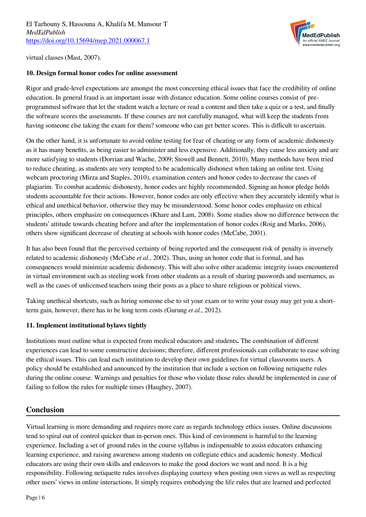

virtual classes (Mast, 2007).

#### **10. Design formal honor codes for online assessment**

Rigor and grade-level expectations are amongst the most concerning ethical issues that face the credibility of online education. In general fraud is an important issue with distance education. Some online courses consist of preprogrammed software that let the student watch a lecture or read a content and then take a quiz or a test, and finally the software scores the assessments. If these courses are not carefully managed, what will keep the students from having someone else taking the exam for them? someone who can get better scores. This is difficult to ascertain.

On the other hand, it is unfortunate to avoid online testing for fear of cheating or any form of academic dishonesty as it has many benefits, as being easier to administer and less expensive. Additionally, they cause less anxiety and are more satisfying to students (Dorrian and Wache, 2009; Stowell and Bennett, 2010). Many methods have been tried to reduce cheating, as students are very tempted to be academically dishonest when taking an online test. Using webcam proctoring (Mirza and Staples, 2010), examination centers and honor codes to decrease the cases of plagiarim. To combat academic dishonesty, honor codes are highly recommended. Signing an honor pledge holds students accountable for their actions. However, honor codes are only effective when they accurately identify what is ethical and unethical behavior, otherwise they may be misunderstood. Some honor codes emphasize on ethical principles, others emphasize on consequences (Khare and Lam, 2008). Some studies show no difference between the students' attitude towards cheating before and after the implementation of honor codes (Roig and Marks, 2006), others show significant decrease of cheating at schools with honor codes (McCabe, 2001).

It has also been found that the perceived certainty of being reported and the consequent risk of penalty is inversely related to academic dishonesty (McCabe *et al.*, 2002). Thus, using an honor code that is formal, and has consequences would minimize academic dishonesty. This will also solve other academic integrity issues encountered in virtual environment such as steeling work from other students as a result of sharing passwords and usernames, as well as the cases of unlicensed teachers using their posts as a place to share religious or political views.

Taking unethical shortcuts, such as hiring someone else to sit your exam or to write your essay may get you a shortterm gain, however, there has to be long term costs (Gurung *et al.*, 2012).

#### **11. Implement institutional bylaws tightly**

Institutions must outline what is expected from medical educators and students**.** The combination of different experiences can lead to some constructive decisions; therefore, different professionals can collaborate to ease solving the ethical issues. This can lead each institution to develop their own guidelines for virtual classrooms users. A policy should be established and announced by the institution that include a section on following netiquette rules during the online course. Warnings and penalties for those who violate those rules should be implemented in case of failing to follow the rules for multiple times (Haughey, 2007).

# **Conclusion**

Virtual learning is more demanding and requires more care as regards technology ethics issues. Online discussions tend to spiral out of control quicker than in-person ones. This kind of environment is harmful to the learning experience. Including a set of ground rules in the course syllabus is indispensable to assist educators enhancing learning experience, and raising awareness among students on collegiate ethics and academic honesty. Medical educators are using their own skills and endeavors to make the good doctors we want and need. It is a big responsibility. Following netiquette rules involves displaying courtesy when posting own views as well as respecting other users' views in online interactions. It simply requires embodying the life rules that are learned and perfected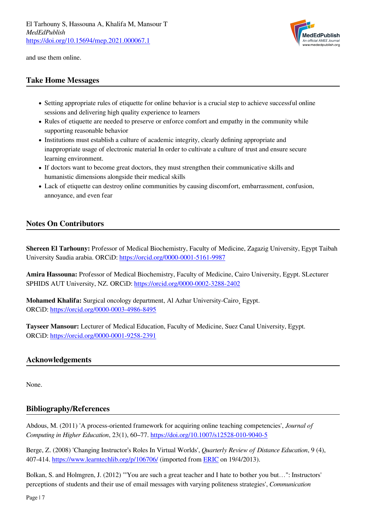

and use them online.

# **Take Home Messages**

- Setting appropriate rules of etiquette for online behavior is a crucial step to achieve successful online sessions and delivering high quality experience to learners
- Rules of etiquette are needed to preserve or enforce comfort and empathy in the community while supporting reasonable behavior
- Institutions must establish a culture of academic integrity, clearly defining appropriate and inappropriate usage of electronic material In order to cultivate a culture of trust and ensure secure learning environment.
- If doctors want to become great doctors, they must strengthen their communicative skills and humanistic dimensions alongside their medical skills
- Lack of etiquette can destroy online communities by causing discomfort, embarrassment, confusion, annoyance, and even fear

# **Notes On Contributors**

**Shereen El Tarhouny:** Professor of Medical Biochemistry, Faculty of Medicine, Zagazig University, Egypt Taibah University Saudia arabia. ORCiD:<https://orcid.org/0000-0001-5161-9987>

**Amira Hassouna:** Professor of Medical Biochemistry, Faculty of Medicine, Cairo University, Egypt. SLecturer SPHIDS AUT University, NZ. ORCiD:<https://orcid.org/0000-0002-3288-2402>

**Mohamed Khalifa:** Surgical oncology department, Al Azhar University-Cairo¸ Egypt. ORCiD: <https://orcid.org/0000-0003-4986-8495>

**Tayseer Mansour:** Lecturer of Medical Education, Faculty of Medicine, Suez Canal University, Egypt. ORCiD: <https://orcid.org/0000-0001-9258-2391>

## **Acknowledgements**

None.

# **Bibliography/References**

Abdous, M. (2011) 'A process-oriented framework for acquiring online teaching competencies', *Journal of Computing in Higher Education*, 23(1), 60–77. <https://doi.org/10.1007/s12528-010-9040-5>

Berge, Z. (2008) 'Changing Instructor's Roles In Virtual Worlds', *Quarterly Review of Distance Education*, 9 (4), 407-414. <https://www.learntechlib.org/p/106706/> (imported from [ERIC](https://eric.ed.gov/) on 19/4/2013).

Bolkan, S. and Holmgren, J. (2012) '"You are such a great teacher and I hate to bother you but…": Instructors' perceptions of students and their use of email messages with varying politeness strategies', *Communication*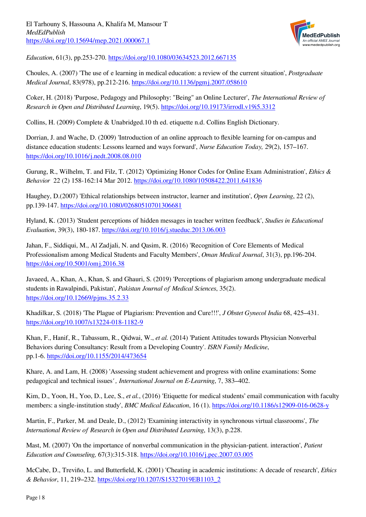

*Education*, 61(3), pp.253-270.<https://doi.org/10.1080/03634523.2012.667135>

Choules, A. (2007) 'The use of e learning in medical education: a review of the current situation', *Postgraduate Medical Journal*, 83(978), pp.212-216.<https://doi.org/10.1136/pgmj.2007.058610>

Coker, H. (2018) 'Purpose, Pedagogy and Philosophy: "Being" an Online Lecturer', *The International Review of Research in Open and Distributed Learning*, 19(5).<https://doi.org/10.19173/irrodl.v19i5.3312>

Collins, H. (2009) Complete & Unabridged.10 th ed. etiquette n.d. Collins English Dictionary.

Dorrian, J. and Wache, D. (2009) 'Introduction of an online approach to flexible learning for on-campus and distance education students: Lessons learned and ways forward', *Nurse Education Today,* 29(2), 157–167. <https://doi.org/10.1016/j.nedt.2008.08.010>

Gurung, R., Wilhelm, T. and Filz, T. (2012) 'Optimizing Honor Codes for Online Exam Administration', *Ethics & Behavior* 22 (2) 158-162:14 Mar 2012. <https://doi.org/10.1080/10508422.2011.641836>

Haughey, D.(2007) 'Ethical relationships between instructor, learner and institution', *Open Learning*, 22 (2), pp.139-147.<https://doi.org/10.1080/02680510701306681>

Hyland, K. (2013) 'Student perceptions of hidden messages in teacher written feedback', *Studies in Educational Evaluation*, 39(3), 180-187. <https://doi.org/10.1016/j.stueduc.2013.06.003>

Jahan, F., Siddiqui, M., Al Zadjali, N. and Qasim, R. (2016) 'Recognition of Core Elements of Medical Professionalism among Medical Students and Faculty Members', *Oman Medical Journal*, 31(3), pp.196-204. <https://doi.org/10.5001/omj.2016.38>

Javaeed, A., Khan, A., Khan, S. and Ghauri, S. (2019) 'Perceptions of plagiarism among undergraduate medical students in Rawalpindi, Pakistan', *Pakistan Journal of Medical Sciences*, 35(2). <https://doi.org/10.12669/pjms.35.2.33>

Khadilkar, S. (2018) 'The Plague of Plagiarism: Prevention and Cure!!!', *J Obstet Gynecol India* 68, 425–431. <https://doi.org/10.1007/s13224-018-1182-9>

Khan, F., Hanif, R., Tabassum, R., Qidwai, W., *et al.* (2014) 'Patient Attitudes towards Physician Nonverbal Behaviors during Consultancy: Result from a Developing Country'. *ISRN Family Medicine*, pp.1-6. <https://doi.org/10.1155/2014/473654>

Khare, A. and Lam, H. (2008) 'Assessing student achievement and progress with online examinations: Some pedagogical and technical issues*' , International Journal on E-Learning*, 7, 383–402.

Kim, D., Yoon, H., Yoo, D., Lee, S., *et al.*, (2016) 'Etiquette for medical students' email communication with faculty members: a single-institution study', *BMC Medical Education*, 16 (1).<https://doi.org/10.1186/s12909-016-0628-y>

Martin, F., Parker, M. and Deale, D., (2012) 'Examining interactivity in synchronous virtual classrooms', *The International Review of Research in Open and Distributed Learning*, 13(3), p.228.

Mast, M. (2007) 'On the importance of nonverbal communication in the physician-patient. interaction', *Patient Education and Counseling,* 67(3):315-318.<https://doi.org/10.1016/j.pec.2007.03.005>

McCabe, D., Treviño, L. and Butterfield, K. (2001) 'Cheating in academic institutions: A decade of research', *Ethics & Behavior*, 11, 219–232. [https://doi.org/10.1207/S15327019EB1103\\_2](https://doi.org/10.1207/S15327019EB1103_2)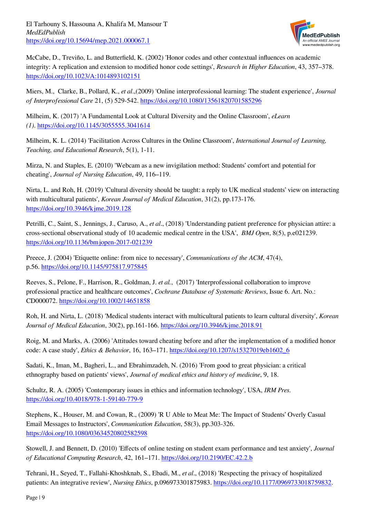

McCabe, D., Treviño, L. and Butterfield, K. (2002) 'Honor codes and other contextual influences on academic integrity: A replication and extension to modified honor code settings', *Research in Higher Education*, 43, 357–378. <https://doi.org/10.1023/A:1014893102151>

Miers, M., Clarke, B., Pollard, K., *et al*.,(2009) 'Online interprofessional learning: The student experience', *Journal of Interprofessional Care* 21, (5) 529-542.<https://doi.org/10.1080/13561820701585296>

Milheim, K. (2017) 'A Fundamental Look at Cultural Diversity and the Online Classroom', *eLearn (1)*. <https://doi.org/10.1145/3055555.3041614>

Milheim, K. L. (2014) 'Facilitation Across Cultures in the Online Classroom', *International Journal of Learning, Teaching, and Educational Research*, 5(1), 1-11.

Mirza, N. and Staples, E. (2010) 'Webcam as a new invigilation method: Students' comfort and potential for cheating', *Journal of Nursing Education*, 49, 116–119.

Nirta, L. and Roh, H. (2019) 'Cultural diversity should be taught: a reply to UK medical students' view on interacting with multicultural patients', *Korean Journal of Medical Education*, 31(2), pp.173-176. <https://doi.org/10.3946/kjme.2019.128>

Petrilli, C., Saint, S., Jennings, J., Caruso, A., *et al*., (2018) 'Understanding patient preference for physician attire: a cross-sectional observational study of 10 academic medical centre in the USA', *BMJ Open*, 8(5), p.e021239. <https://doi.org/10.1136/bmjopen-2017-021239>

Preece, J. (2004) 'Etiquette online: from nice to necessary', *Communications of the ACM*, 47(4), p.56. <https://doi.org/10.1145/975817.975845>

Reeves, S., Pelone, F., Harrison, R., Goldman, J. *et al.*, (2017) 'Interprofessional collaboration to improve professional practice and healthcare outcomes', *Cochrane Database of Systematic Reviews*, Issue 6. Art. No.: CD000072.<https://doi.org/10.1002/14651858>

Roh, H. and Nirta, L. (2018) 'Medical students interact with multicultural patients to learn cultural diversity', *Korean Journal of Medical Education*, 30(2), pp.161-166. <https://doi.org/10.3946/kjme.2018.91>

Roig, M. and Marks, A. (2006) 'Attitudes toward cheating before and after the implementation of a modified honor code: A case study', *Ethics & Behavior*, 16, 163–171. [https://doi.org/10.1207/s15327019eb1602\\_6](https://doi.org/10.1207/s15327019eb1602_6)

Sadati, K., Iman, M., Bagheri, L., and Ebrahimzadeh, N. (2016) 'From good to great physician: a critical ethnography based on patients' views', *Journal of medical ethics and history of medicine*, 9, 18.

Schultz, R. A. (2005) 'Contemporary issues in ethics and information technology', USA, *IRM Pres*. <https://doi.org/10.4018/978-1-59140-779-9>

Stephens, K., Houser, M. and Cowan, R., (2009) 'R U Able to Meat Me: The Impact of Students' Overly Casual Email Messages to Instructors', *Communication Education*, 58(3), pp.303-326. <https://doi.org/10.1080/03634520802582598>

Stowell, J. and Bennett, D. (2010) 'Effects of online testing on student exam performance and test anxiety', *Journal of Educational Computing Research*, 42, 161–171. <https://doi.org/10.2190/EC.42.2.b>

Tehrani, H., Seyed, T., Fallahi-Khoshknab, S., Ebadi, M., *et al*., (2018) 'Respecting the privacy of hospitalized patients: An integrative review', *Nursing Ethics*, p.096973301875983.<https://doi.org/10.1177/0969733018759832>.